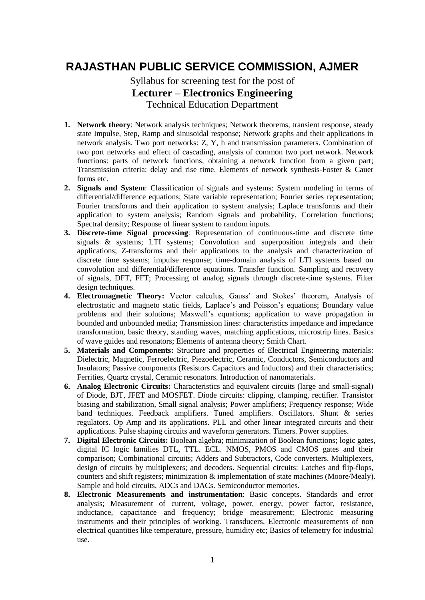## **RAJASTHAN PUBLIC SERVICE COMMISSION, AJMER**

## Syllabus for screening test for the post of **Lecturer – Electronics Engineering** Technical Education Department

- **1. Network theory**: Network analysis techniques; Network theorems, transient response, steady state Impulse, Step, Ramp and sinusoidal response; Network graphs and their applications in network analysis. Two port networks: Z, Y, h and transmission parameters. Combination of two port networks and effect of cascading, analysis of common two port network. Network functions: parts of network functions, obtaining a network function from a given part; Transmission criteria: delay and rise time. Elements of network synthesis-Foster & Cauer forms etc.
- **2. Signals and System**: Classification of signals and systems: System modeling in terms of differential/difference equations; State variable representation; Fourier series representation; Fourier transforms and their application to system analysis; Laplace transforms and their application to system analysis; Random signals and probability, Correlation functions; Spectral density; Response of linear system to random inputs.
- **3. Discrete-time Signal processing**: Representation of continuous-time and discrete time signals & systems; LTI systems; Convolution and superposition integrals and their applications; Z-transforms and their applications to the analysis and characterization of discrete time systems; impulse response; time-domain analysis of LTI systems based on convolution and differential/difference equations. Transfer function. Sampling and recovery of signals, DFT, FFT; Processing of analog signals through discrete-time systems. Filter design techniques.
- **4. Electromagnetic Theory:** Vector calculus, Gauss' and Stokes' theorem, Analysis of electrostatic and magneto static fields, Laplace's and Poisson's equations; Boundary value problems and their solutions; Maxwell's equations; application to wave propagation in bounded and unbounded media; Transmission lines: characteristics impedance and impedance transformation, basic theory, standing waves, matching applications, microstrip lines. Basics of wave guides and resonators; Elements of antenna theory; Smith Chart.
- **5. Materials and Components:** Structure and properties of Electrical Engineering materials: Dielectric, Magnetic, Ferroelectric, Piezoelectric, Ceramic, Conductors, Semiconductors and Insulators; Passive components (Resistors Capacitors and Inductors) and their characteristics; Ferrities, Quartz crystal, Ceramic resonators. Introduction of nanomaterials.
- **6. Analog Electronic Circuits:** Characteristics and equivalent circuits (large and small-signal) of Diode, BJT, JFET and MOSFET. Diode circuits: clipping, clamping, rectifier. Transistor biasing and stabilization, Small signal analysis; Power amplifiers; Frequency response; Wide band techniques. Feedback amplifiers. Tuned amplifiers. Oscillators. Shunt & series regulators. Op Amp and its applications. PLL and other linear integrated circuits and their applications. Pulse shaping circuits and waveform generators. Timers. Power supplies.
- **7. Digital Electronic Circuits:** Boolean algebra; minimization of Boolean functions; logic gates, digital IC logic families DTL, TTL. ECL. NMOS, PMOS and CMOS gates and their comparison; Combinational circuits; Adders and Subtractors, Code converters. Multiplexers, design of circuits by multiplexers; and decoders. Sequential circuits: Latches and flip-flops, counters and shift registers; minimization & implementation of state machines (Moore/Mealy). Sample and hold circuits, ADCs and DACs. Semiconductor memories.
- **8. Electronic Measurements and instrumentation**: Basic concepts. Standards and error analysis; Measurement of current, voltage, power, energy, power factor, resistance, inductance, capacitance and frequency; bridge measurement; Electronic measuring instruments and their principles of working. Transducers, Electronic measurements of non electrical quantities like temperature, pressure, humidity etc; Basics of telemetry for industrial use.